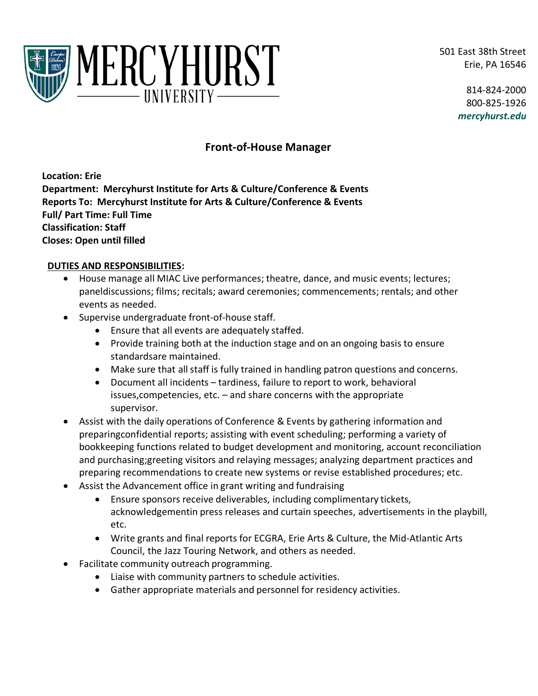501 East 38th Street Erie, PA 16546



814-824-2000 800-825-1926 *mercyhurst.edu*

# **Front-of-House Manager**

**Location: Erie Department: Mercyhurst Institute for Arts & Culture/Conference & Events Reports To: Mercyhurst Institute for Arts & Culture/Conference & Events Full/ Part Time: Full Time Classification: Staff Closes: Open until filled** 

#### **DUTIES AND RESPONSIBILITIES:**

- House manage all MIAC Live performances; theatre, dance, and music events; lectures; paneldiscussions; films; recitals; award ceremonies; commencements; rentals; and other events as needed.
- Supervise undergraduate front-of-house staff.
	- Ensure that all events are adequately staffed.
	- Provide training both at the induction stage and on an ongoing basis to ensure standardsare maintained.
	- Make sure that all staff is fully trained in handling patron questions and concerns.
	- Document all incidents tardiness, failure to report to work, behavioral issues,competencies, etc. – and share concerns with the appropriate supervisor.
- Assist with the daily operations of Conference & Events by gathering information and preparingconfidential reports; assisting with event scheduling; performing a variety of bookkeeping functions related to budget development and monitoring, account reconciliation and purchasing;greeting visitors and relaying messages; analyzing department practices and preparing recommendations to create new systems or revise established procedures; etc.
- Assist the Advancement office in grant writing and fundraising
	- Ensure sponsors receive deliverables, including complimentary tickets, acknowledgementin press releases and curtain speeches, advertisements in the playbill, etc.
	- Write grants and final reports for ECGRA, Erie Arts & Culture, the Mid-Atlantic Arts Council, the Jazz Touring Network, and others as needed.
- Facilitate community outreach programming.
	- Liaise with community partners to schedule activities.
	- Gather appropriate materials and personnel for residency activities.